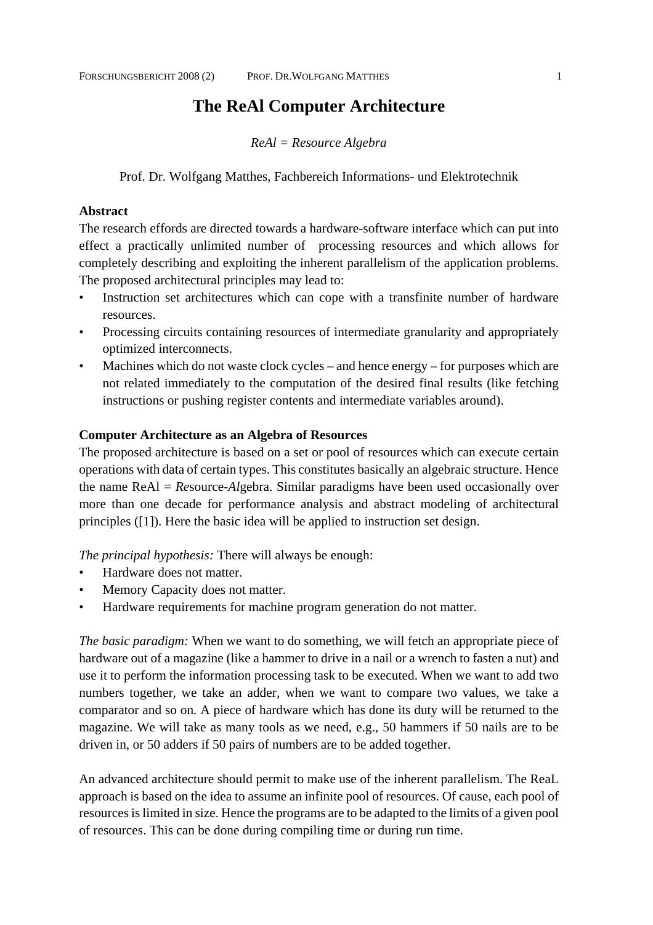# **The ReAl Computer Architecture**

*ReAl = Resource Algebra*

Prof. Dr. Wolfgang Matthes, Fachbereich Informations- und Elektrotechnik

## **Abstract**

The research effords are directed towards a hardware-software interface which can put into effect a practically unlimited number of processing resources and which allows for completely describing and exploiting the inherent parallelism of the application problems. The proposed architectural principles may lead to:

- Instruction set architectures which can cope with a transfinite number of hardware resources.
- Processing circuits containing resources of intermediate granularity and appropriately optimized interconnects.
- Machines which do not waste clock cycles and hence energy for purposes which are not related immediately to the computation of the desired final results (like fetching instructions or pushing register contents and intermediate variables around).

### **Computer Architecture as an Algebra of Resources**

The proposed architecture is based on a set or pool of resources which can execute certain operations with data of certain types. This constitutes basically an algebraic structure. Hence the name ReAl = *Re*source-*Al*gebra. Similar paradigms have been used occasionally over more than one decade for performance analysis and abstract modeling of architectural principles ([1]). Here the basic idea will be applied to instruction set design.

*The principal hypothesis:* There will always be enough:

- Hardware does not matter.
- Memory Capacity does not matter.
- Hardware requirements for machine program generation do not matter.

*The basic paradigm:* When we want to do something, we will fetch an appropriate piece of hardware out of a magazine (like a hammer to drive in a nail or a wrench to fasten a nut) and use it to perform the information processing task to be executed. When we want to add two numbers together, we take an adder, when we want to compare two values, we take a comparator and so on. A piece of hardware which has done its duty will be returned to the magazine. We will take as many tools as we need, e.g., 50 hammers if 50 nails are to be driven in, or 50 adders if 50 pairs of numbers are to be added together.

An advanced architecture should permit to make use of the inherent parallelism. The ReaL approach is based on the idea to assume an infinite pool of resources. Of cause, each pool of resources is limited in size. Hence the programs are to be adapted to the limits of a given pool of resources. This can be done during compiling time or during run time.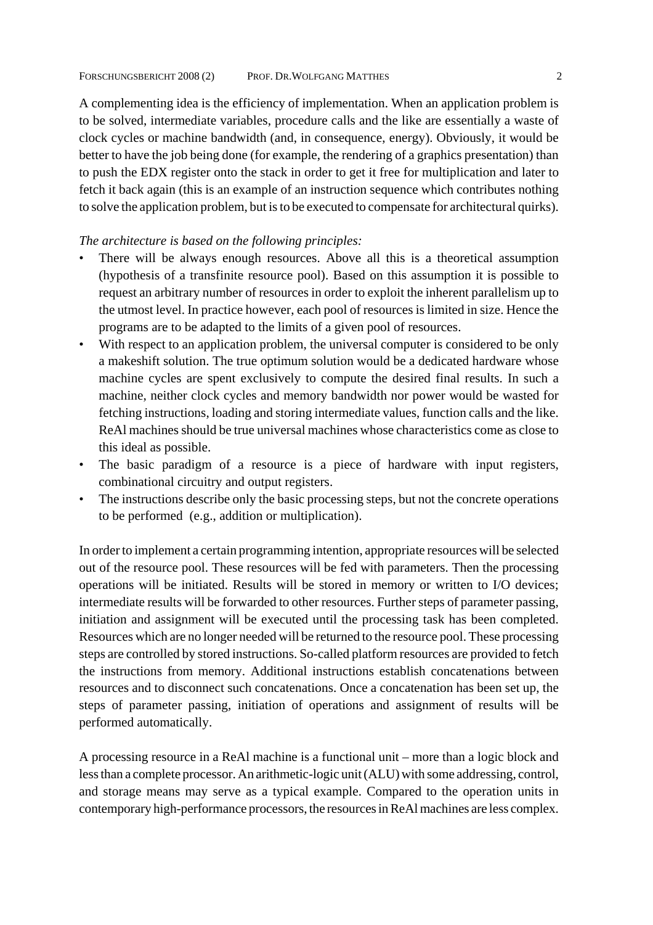A complementing idea is the efficiency of implementation. When an application problem is to be solved, intermediate variables, procedure calls and the like are essentially a waste of clock cycles or machine bandwidth (and, in consequence, energy). Obviously, it would be better to have the job being done (for example, the rendering of a graphics presentation) than to push the EDX register onto the stack in order to get it free for multiplication and later to fetch it back again (this is an example of an instruction sequence which contributes nothing to solve the application problem, but is to be executed to compensate for architectural quirks).

### *The architecture is based on the following principles:*

- There will be always enough resources. Above all this is a theoretical assumption (hypothesis of a transfinite resource pool). Based on this assumption it is possible to request an arbitrary number of resources in order to exploit the inherent parallelism up to the utmost level. In practice however, each pool of resources is limited in size. Hence the programs are to be adapted to the limits of a given pool of resources.
- With respect to an application problem, the universal computer is considered to be only a makeshift solution. The true optimum solution would be a dedicated hardware whose machine cycles are spent exclusively to compute the desired final results. In such a machine, neither clock cycles and memory bandwidth nor power would be wasted for fetching instructions, loading and storing intermediate values, function calls and the like. ReAl machines should be true universal machines whose characteristics come as close to this ideal as possible.
- The basic paradigm of a resource is a piece of hardware with input registers, combinational circuitry and output registers.
- The instructions describe only the basic processing steps, but not the concrete operations to be performed (e.g., addition or multiplication).

In order to implement a certain programming intention, appropriate resources will be selected out of the resource pool. These resources will be fed with parameters. Then the processing operations will be initiated. Results will be stored in memory or written to I/O devices; intermediate results will be forwarded to other resources. Further steps of parameter passing, initiation and assignment will be executed until the processing task has been completed. Resources which are no longer needed will be returned to the resource pool. These processing steps are controlled by stored instructions. So-called platform resources are provided to fetch the instructions from memory. Additional instructions establish concatenations between resources and to disconnect such concatenations. Once a concatenation has been set up, the steps of parameter passing, initiation of operations and assignment of results will be performed automatically.

A processing resource in a ReAl machine is a functional unit – more than a logic block and less than a complete processor. An arithmetic-logic unit (ALU) with some addressing, control, and storage means may serve as a typical example. Compared to the operation units in contemporary high-performance processors, the resources in ReAl machines are less complex.